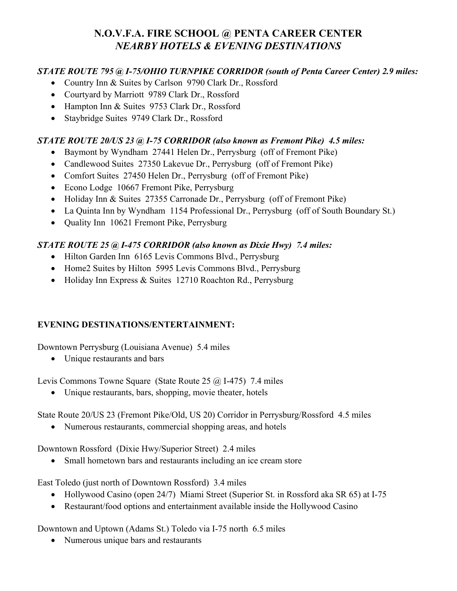## **N.O.V.F.A. FIRE SCHOOL @ PENTA CAREER CENTER** *NEARBY HOTELS & EVENING DESTINATIONS*

## *STATE ROUTE 795 @ I-75/OHIO TURNPIKE CORRIDOR (south of Penta Career Center) 2.9 miles:*

- Country Inn & Suites by Carlson 9790 Clark Dr., Rossford
- Courtyard by Marriott 9789 Clark Dr., Rossford
- Hampton Inn & Suites 9753 Clark Dr., Rossford
- Staybridge Suites 9749 Clark Dr., Rossford

## *STATE ROUTE 20/US 23 @ I-75 CORRIDOR (also known as Fremont Pike) 4.5 miles:*

- Baymont by Wyndham 27441 Helen Dr., Perrysburg (off of Fremont Pike)
- Candlewood Suites 27350 Lakevue Dr., Perrysburg (off of Fremont Pike)
- Comfort Suites 27450 Helen Dr., Perrysburg (off of Fremont Pike)
- Econo Lodge 10667 Fremont Pike, Perrysburg
- Holiday Inn & Suites 27355 Carronade Dr., Perrysburg (off of Fremont Pike)
- La Quinta Inn by Wyndham 1154 Professional Dr., Perrysburg (off of South Boundary St.)
- Quality Inn 10621 Fremont Pike, Perrysburg

## *STATE ROUTE 25 @ I-475 CORRIDOR (also known as Dixie Hwy) 7.4 miles:*

- Hilton Garden Inn 6165 Levis Commons Blvd., Perrysburg
- Home2 Suites by Hilton 5995 Levis Commons Blvd., Perrysburg
- Holiday Inn Express & Suites 12710 Roachton Rd., Perrysburg

### **EVENING DESTINATIONS/ENTERTAINMENT:**

Downtown Perrysburg (Louisiana Avenue) 5.4 miles

• Unique restaurants and bars

Levis Commons Towne Square (State Route 25 @ I-475) 7.4 miles

• Unique restaurants, bars, shopping, movie theater, hotels

State Route 20/US 23 (Fremont Pike/Old, US 20) Corridor in Perrysburg/Rossford 4.5 miles

• Numerous restaurants, commercial shopping areas, and hotels

Downtown Rossford (Dixie Hwy/Superior Street) 2.4 miles

• Small hometown bars and restaurants including an ice cream store

East Toledo (just north of Downtown Rossford) 3.4 miles

- Hollywood Casino (open 24/7) Miami Street (Superior St. in Rossford aka SR 65) at I-75
- Restaurant/food options and entertainment available inside the Hollywood Casino

Downtown and Uptown (Adams St.) Toledo via I-75 north 6.5 miles

• Numerous unique bars and restaurants